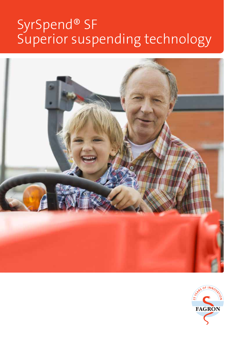# SyrSpend® SF Superior suspending technology



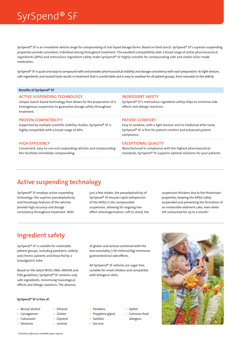## SyrSpend® SF

SyrSpend® SF is an innovative vehicle range for compounding of oral liquid dosage forms. Based on food starch, SyrSpend® SF's superior suspending properties provide consistent, individual dosing throughout treatment. The excellent compatibility with a broad range of active pharmaceutical ingredients (APIs) and meticulous ingredient safety make SyrSpend® SF highly suitable for compounding safe and stable tailor-made medication.

SyrSpend® SF is quick and easy to compound with and provides pharmaceutical stability and dosage consistency with each preparation. Its light texture, safe ingredients and neutral taste results in treatment that is comfortable and is easy to swallow for all patient groups, from neonates to the elderly.

| Benefits of SyrSpend <sup>®</sup> SF                                                                                                                                                    |                                                                                                                                                                                |
|-----------------------------------------------------------------------------------------------------------------------------------------------------------------------------------------|--------------------------------------------------------------------------------------------------------------------------------------------------------------------------------|
| <b>ACTIVE SUSPENDING TECHNOLOGY</b><br>Unique starch-based technology that allows for the preparation of a<br>homogenous suspension to guarantee dosage safety throughout<br>treatment. | <b>INGREDIENT SAFETY</b><br>SyrSpend® SF's meticulous ingredient safety helps to minimise side<br>effects and allergic reactions.                                              |
| <b>PROVEN COMPATIBILITY</b><br>Supported by multiple scientific stability studies, SyrSpend® SF is<br>highly compatible with a broad range of APIs.                                     | <b>PATIENT COMFORT</b><br>Easy to swallow, with a light texture and no medicinal after taste,<br>SyrSpend® SF is first for patient comfort and enhanced patient<br>compliance. |
| <b>HIGH EFFICIENCY</b><br>Convenient, easy-to-use oral suspending vehicles and compounding<br>kits facilitate immediate compounding.                                                    | <b>EXCEPTIONAL QUALITY</b><br>Manufactured in compliance with the highest pharmaceutical<br>standards, SyrSpend® SF supports optimal solutions for your patients.              |

### Active suspending technology

SyrSpend® SF employs *active suspending technology*: the superior pseudoplasticity and thixotropy features of the vehicles provide high accuracy and dosage consistency throughout treatment. With

just a few shakes, the pseudoplasticity of SyrSpend® SF ensures rapid redispersion of the API(s) in the compounded suspension, allowing for ongoing low effort rehomogenisation. Left to stand, the suspension thickens due to the thixotropic properties, keeping the API(s) safely suspended and preventing the formation of an irreversible sediment cake, even when left untouched for up to a month.<sup>1</sup>

## Ingredient safety

SyrSpend® SF is suitable for vulnerable patient groups, including paediatric, elderly and chronic patients and those fed by a (naso)gastric tube.

Based on the latest WHO, EMA, ANVISA and FDA guidelines, SyrSpend® SF contains only safe ingredients, minimising toxicological effects and allergic reactions. The absence

### SyrSpend® SF is free of:

- Benzyl alcohol
- Carrageenan
- **Colourants**
- Dextrose
- Glycerol
- Lactose

• Ethanol • Gluten

of gluten and lactose combined with the low osmolality (<50 mOsmol/kg) minimises gastrointestinal side effects.

All SyrSpend® SF vehicles are sugar free, suitable for small children and compatible with ketogenic diets.

• Parabens

- Propylene glycol
- Sorbitol • Sucrose
- Xylitol
- Common food allergens

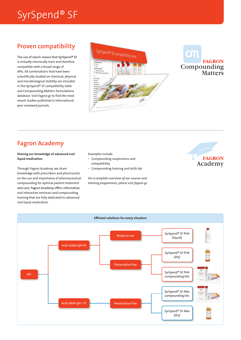## SyrSpend® SF

### Proven compatibility

The use of starch means that SyrSpend® SF is virtually chemically inert and therefore compatible with a broad range of APIs. All combinations that have been scientifically studied on chemical, physical and microbiological stability are included in the SyrSpend® SF compatibility table and Compounding Matters formulations database. Visit fagron.gr to find the most recent studies published in international peer reviewed journals.





### Fagron Academy

Sharing our knowledge of advanced oral liquid medication.

Through Fagron Academy, we share knowledge with prescribers and pharmacists on the use and importance of pharmaceutical compounding for optimal patient treatment and care. Fagron Academy offers informative and interactive seminars and compounding training that are fully dedicated to advanced oral liquid medication.

#### Examples include:

- Compounding suspensions and compatibility
- Compounding training and skills lab

*For a complete overview of our courses and training programmes, please visit fagron.gr.*